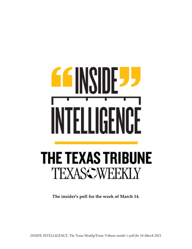## h GЫ ŀ **THE TEXAS TRIBUNE TEXASS WEEKLY**

**The insider's poll for the week of March 14.**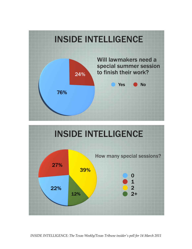



*INSIDE INTELLIGENCE: The Texas Weekly/Texas Tribune insider's poll for 14 March 2011*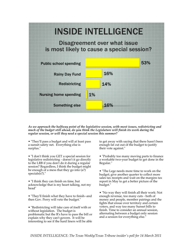

*As we approach the halfway point of the legislative session, with most issues, redistricting and much of the budget still ahead, do you think the Legislature will finish its work during the regular session, or will they need a special session this summer?*

• "They'll pass a budget and will at least pass a sunset safety net. Everything else is surplus."

• "I don't think you GET a special session for legislative redistricting - doesn't it go directly to the LRB if you don't do it during a regular session? Regardless, I think the budget might be enough of a mess that they go into  $(a?)$  $species$ ?)."

• "I think they can finish on time, but acknowledge that is my heart talking, not my head"

• "They'll finish what they have to finish--and then Gov. Perry will veto the budget."

• "Redistricting will take care of itself with or without legislation. The budget is problematic but the R's have to pass the bill or explain why they can't govern. It will be interesting to see if the hard liners will be able to get away with saying that there hasn't been enough fat cut out of the budget to justify their vote against."

• "Probably too many moving parts to finance a workable two-year budget to get done in the Regular."

• "The Lege needs more time to work on the budget; give another quarter to collect more sales tax receipts and wait on the margins tax report in May to get a better picture of the budget."

• "No way they will finish all their work: Not enough revenue, too many cuts - both of money and people, member pairings and the fights that ensue over territory and certain voters, and way too many Sunset bills to finish. Time to consider an annual session, alternating between a budget only session and a session for everything else."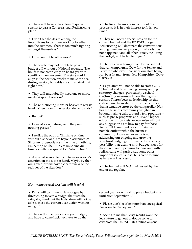• "There will have to be at least 1 special session to pass a Congressional Redistricting plan."

• "I don't see the desire among the Republicans to continue working together into the summer. There is too much fighting amongst themselves."

• "How could it be otherwise?"

• "The senate may not be able to pass a budget bill without additional revenue. The house is not completely on board yet with significant new revenue. The stars could align in the next few weeks to make the deal during session, but odds are still against that right now."

• "They will undoubtedly need one or more, maybe 4 special sessions"

• "The re-districting monster has yet to rest its head. When it does, the session de facto ends."

• "Budget"

• "Legislators will disagree to the point nothing passes."

• "I realize the odds of 'finishing on time' without a special(s) are beyond astronomical. Since my prognosis costs me little or nothing, I'm betting on the Ruthless Rs to sine die timely - with one special for Redistricting."

• "A special session tends to focus everyone's attention on the topic at hand. Maybe by then our governor will have a clearer view of the realities of the situation."

• "The Republicans are in control of the process so it is in their interest to finish on time."

• "They will need a special session for the current budget and the FY 12-13 budget. Redistricting will dominate the conversations among members very soon (if it already has not happened) and all other issues, including the budget, will be left to linger."

• "The session is being driven by consultants that run campaigns... Dew for the Senate and Perry for whatever....consider our state being run by a fat man from New Hampshire - Dave Carney!!!"

• "Legislators will not be able to craft a 2012- 13 budget and bills making corresponding statutory changes--particularly a school (un)funding measure--during the regular session. There's been no leadership on this critical issue from statewide officials--other than a tentative effort by the comptroller. Nor has the business community weighed in beyond making calls to fund a few programs- such as pre-K programs and TEXAS higher education tuition assistance grants--without any suggestion as to how to pay for those items. Bill Hammond is a surprising and notable outlier within the business community. However, even he is not addressing our ongoing and growing structural budget gap. There is also a strong possibility that dealing with budget issues for the current and upcoming biennia and with redistricting will push aside some other important issues--sunset bills come to mind- as happened last session."

• "The budget will NOT get passed by the end of the regular."

## *How many special sessions will it take?*

• "Perry will continue to demagogue by threatening to veto a budget that uses the rainy day fund, but the legislature will not be able to close the current year deficit without using it."

• "They will either pass a one year budget, and have to come back next year to do the

second year, or will fail to pass a budget at all until after September 1."

• "Please don't let it be more than one speical. I'm going to Disneyland!"

• "Seems to me that Perry would want the legislature to get out of dodge so he can crisscross the United States telling anyone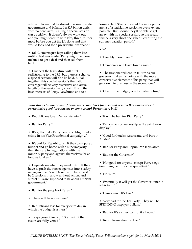who will listen that he shrunk the size of state government and balanced a \$27 billion deficit with no new taxes. Calling a special session can be tricky. It doesn't always work out, and you might end up with two, three, four or more before you get the job done and that would look bad for a presidential wannabe."

• "Bill Clements just kept calling them back until a deal was made. Perry might be more inclined to get a deal and then call them back."

• "I suspect the legislature will punt redistricting to the LRB, but there is a chance a special session will also be held. But all together, this special session's thematic coverage will be very restrictive and actual length of the session very short. It is in the best interests of Perry, Dewhurst, and to a

lesser extent Straus to avoid the more public arena of a legislative session to every extent possible. But I doubt they'll be able to get away with no special session, so the result will be a very short one scheduled during the summer vacation period."

- "4"
- "Possibly more than 2"
- "Democrats will leave town again."
- "The first one will end in failure as our governor makes his points with the more conservative elements of his party. We will get down to business in the second one."
- "One for the budget, one for redistricting."

## *Who stands to win or lose if lawmakers come back for a special session this summer? Is it particularly good for someone or some group? Particularly bad?*

- "Republicans lose. Democrats win."
- "Bad for Perry."

• "It's gotta make Perry nervous. Might put a crimp in his Vice Presidential campaign..."

• "It's bad for Republicans. If they can't pass a budget and go home with a supermajority, then they are in negotiations with the minority party and against themselves for as long as it takes."

• "Depends on what they need to fix. If they have to push the sunset agencies into a safety net again, the Rs will take the hit because it'll be 2 sessions in a row without action, and sunset bills are supposed to be about efficient government."

- "Bad for the people of Texas."
- "There will be no winners."
- "Republicans lose for every extra day in which the budget is a mess."

• "Taxpayers-citizens of TX all win if the issues are fully vetted."

• "It will be bad for Rick Perry."

• "Perry's lack of leadership will again be on display."

- "Good for hotels/restaurants and bars in Austin"
- "Bad for Perry and Republican legislators."
- "Bad for the Governor"
- "Not good for anyone--except Perry's ego (assuming he forces the special(s))."
- "Not sure."
- "Eventually it will get the Governor, since it is his fault."
- "Dem's win... R's lose."
- "Very bad for the Tea Party. They will be SPENDING taxpayer dollars."
- "Bad for R's as they control it all now."
- "Republicans stand to lose."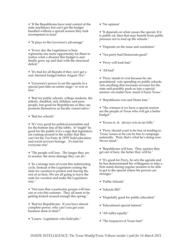• "If the Republicans have total control of the state machinery but can't get the budget handled without a special session they look incompetent to lead."

• "It plays to the Governor's advantage"

• "Every day the Legislature is here represents one more opportunity for them to realize what a disaster this budget is and finally grow up and deal with the structural deficit.

• "It's bad for all Repubs if they can't get a real, biennial budget before August 31st."

• "Governor's power to set the agenda in a special puts him on center stage-- to win or lose."

• "Bad for public schools, college students, the elderly, disabled, sick children, and poor people, but good for Republicans as they can promote themselves as fiscally conservative."

• "Bad for schools"

• "It's very good for political journalists and for the bottom line of the lobby. It \*might\* be good for the public if it's a sign that legislators are coming around to the reality that they can't let the Tea Party & TPPF hold education and social services hostage. It's bad for everyone else"

• "The people will lose. The longer they are in session, the more damage they can do."

• "In a strange turn of event this redistricting cycle, Instead of the Legislators exiting the state for vacation to protest and leaving the rest of us here, We are all going to leave the state for vacation and make the Legislators stay."

• "Not sure that a particular groups will lose out or win this summer. They all seem to be getting kicked around enough this spring."

• "Bad for Republicans. If you have almost complete power, why can't you get your business done in time?"

• "Losers: Legislators who hold jobs."

• "No opinion"

• "It depends on what causes the special. If it is public ed, then that may benefit from public pressure not to foul up the schools."

- "Depends on the issue and resolution."
- "Tea party-bad Democrats-good"
- "Perry will look bad."
- "All bad"

• "Perry stands to win because he can grandstand, veto spending on public schools, veto anything that increases revenue for the state and possibly push us into a special session--no matter how much it hurts Texas."

• "Republicans win and Dems lose."

• "The winners if we have a special session are the people of Texas who will get a better budget."

• "Exxon et. al. always win in tax bills."

• "Perry should want to be free of tending to 'Texas' issues so he can be free to campaign nationally. Wait, that's what he's doing now. Never mind."

• "Republicans will lose. They quicker they get out of here, the better they will be."

• "It's good for Perry, he sets the agenda and he has demonstrated his willingness to take a firm stand during regular sessions to be able to get to the special where his powers are stronger."

- "Public Schools"
- "Schools ISD"
- "Hopefully good for public education"
- "Educational special interest"
- "All suffer equally"
- "The taxpayers of Texas lose!"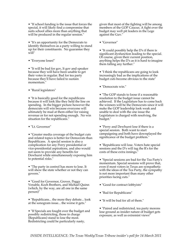• "If school funding is the issue that forces the special, it will likely find a compromise that suits school allies more than anything that will be produced in the regular session."

• "It's an opportunity for the Democrats to identify themselves as a party willing to stand up for their constituents. No guarantee they will"

• "Everyone loses!"

• "It will be bad for gov, lt gov and speaker because they will have been unable to get their votes in regular. Bad for tea party because they'll have failed to sustain momentum."

• "Rural legislators"

• "It is basically good for the republicans because it will look like they held the line on spending. In the bigger picture however the democrats will win because everyone will ultimately be mad at them either for raising revenue or for not spending enough. No win situation for the republicans."

• "Lt. Governor"

• "Greater media coverage of the budget cuts and related topics is better for Democrats than Republicans. A special session is also a complication for any Perry presidential or vice-presidential aspirations, and also would not seem to provide any benefits for Dewhurst while simultaneously exposing him to potential risks."

• "The party in control has more to lose. It will show the state whether or not they can govern."

• "Good for Governor, Grover, Peggy Venable, Koch Brothers, and Michael Quinn (which, by the way, are all one in the same person)"

• "Republicans... the more they debate... look at the sonogram issue... the worse it gets."

• "If Specials are fought over the budget and possibly redistricting, those in charge (Republicans) stand to lose the most. Redistricting could be particularly nasty,

given that most of the fighting will be among members of the GOP Caucus. A fight over the budget may well pit leaders in the Lege against the Guv."

• "Governor"

• "It could possibly help the D's if there is significant dysfunction leading to the special. Of course, given their current position, anything helps the D's as it is hard to imagine them falling any further."

• "I think the republicans are going to look increasingly bad as the implications of the budget cuts become obvious to the state"

• "Democrats win."

• "The GOP stands to loose if a reasonable resolution to the budget issue cannot be achieved. If the Legislature has to come back the winners will be the Democrats since it will make the GOP leadership look weak and unable to deal with the one issue the Legislature is charged with resolving, the budget."

• "Perry and Dewhurst lose if there is a special session. Both want to start campaigning and both have downplayed the significance of the budget problem."

• "Republicans will lose. Voters hate special sessions and the D's will tag the R's for the costs of these extra innings.

• "Special sessions are bad for the Tea Party's momentum. Special sessions will prove that, even if most voters in Texas are sympathetic with the ideas of the Tea Party, the sympathy is not more important than many other priorities facing cuts."

- "Good for contract lobbyists"
- "Bad for Republicans"
- "It will be bad for all of them."

• "Paired and redistricted, tea party morons lose ground as insider nature of budget gets exposure, as well as extremist views"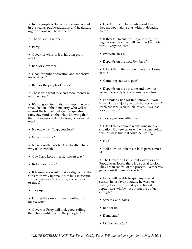• "In the people of Texas will be winners but in particular, public education and healthcare organizations will be winners."

- "The w is a big winner."
- "Perry"

• "Governor wins, unless his own party rebels"

• "Bad for Governor."

• "Good for public education and expensive for business."

• "Bad for the people of Texas"

• "Those who want to spend more money will win the most."

• "It's not good for anybody except maybe a small faction of the R majority who will rail against the budget, rail against spending rainy day funds all the while knowing that their colleagues will make tough choices. Win win?"

- "No one wins. Taxpayers lose."
- "Governor wins."

• "No one really gets hurt politically. That's why it's inevitable."

- "Gov Perry Loses in a significant way"
- "Its bad for Texas."

• "If lawmakers want to take a dig back at the Governor, why not make him look ineffectual with a necessary (and costly) special session or three?"

• "Toss up"

• "During the slow summer months, the media wins!"

• "Governor Perry will look good 'calling them back until they do the job right.'"

• "Good for incumbents who need to show they are not making cuts without debating them."

• "If they fail to cut the budget during the regular session - they will feed the Tea Party fires. Everyone loses."

- "Everyone loses."
- "Depends on the next 70+ days."

• "I don't think there are winners and losses in this."

- "Gambling stands to gain"
- "Depends on the outcome and how it is viewed too early to know winners or loser"

• "Particularly bad for Republicans. If you have a large majority in both houses and can't reach consensus on tough issues, it is a loss for your team."

• "Taxpayers lose either way."

• "I don't think anyone really wins in this situation. Our governor will win some points with his base but that could be fleeting."

 $\bullet$  "N/a"

• "Will hurt incumbents of both parties most likely."

• "The Governor, Lieutenant Governor and Republicans lose if there is a special session. They are in control of the process. Democrats get a boost if there is a special."

• "Perry will be able to spin any special session in his favor... stating he was not willing to let the tax and spend liberal republicans win by not cutting the budget enough."

- "Senate Candidates"
- "Bad for Rs"
- "Democrats"
- "Lt. Gov and Gov"